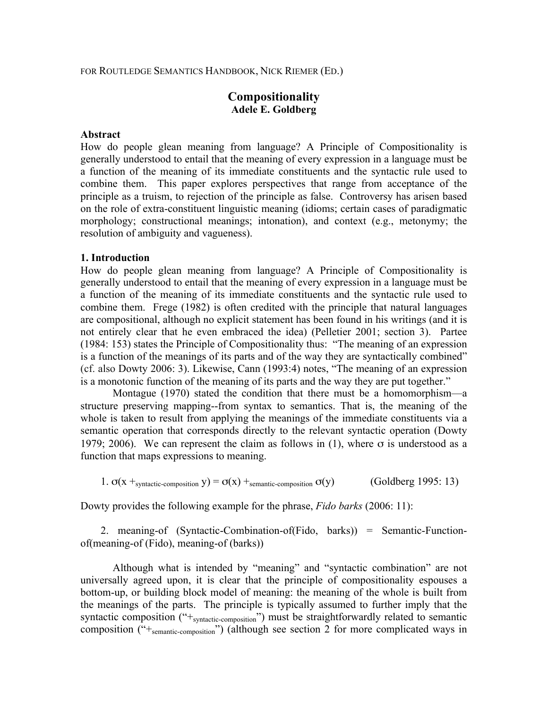FOR ROUTLEDGE SEMANTICS HANDBOOK, NICK RIEMER (ED.)

# **Compositionality Adele E. Goldberg**

#### **Abstract**

How do people glean meaning from language? A Principle of Compositionality is generally understood to entail that the meaning of every expression in a language must be a function of the meaning of its immediate constituents and the syntactic rule used to combine them. This paper explores perspectives that range from acceptance of the principle as a truism, to rejection of the principle as false. Controversy has arisen based on the role of extra-constituent linguistic meaning (idioms; certain cases of paradigmatic morphology; constructional meanings; intonation), and context (e.g., metonymy; the resolution of ambiguity and vagueness).

### **1. Introduction**

How do people glean meaning from language? A Principle of Compositionality is generally understood to entail that the meaning of every expression in a language must be a function of the meaning of its immediate constituents and the syntactic rule used to combine them. Frege (1982) is often credited with the principle that natural languages are compositional, although no explicit statement has been found in his writings (and it is not entirely clear that he even embraced the idea) (Pelletier 2001; section 3). Partee (1984: 153) states the Principle of Compositionality thus: "The meaning of an expression is a function of the meanings of its parts and of the way they are syntactically combined" (cf. also Dowty 2006: 3). Likewise, Cann (1993:4) notes, "The meaning of an expression is a monotonic function of the meaning of its parts and the way they are put together."

Montague (1970) stated the condition that there must be a homomorphism—a structure preserving mapping--from syntax to semantics. That is, the meaning of the whole is taken to result from applying the meanings of the immediate constituents via a semantic operation that corresponds directly to the relevant syntactic operation (Dowty 1979; 2006). We can represent the claim as follows in (1), where  $\sigma$  is understood as a function that maps expressions to meaning.

1.  $\sigma(x +_{syntactic-composition} y) = \sigma(x) +_{semantic-composition} \sigma(y)$  (Goldberg 1995: 13)

Dowty provides the following example for the phrase, *Fido barks* (2006: 11):

2. meaning-of (Syntactic-Combination-of(Fido, barks)) = Semantic-Functionof(meaning-of (Fido), meaning-of (barks))

Although what is intended by "meaning" and "syntactic combination" are not universally agreed upon, it is clear that the principle of compositionality espouses a bottom-up, or building block model of meaning: the meaning of the whole is built from the meanings of the parts. The principle is typically assumed to further imply that the syntactic composition ("+syntactic-composition") must be straightforwardly related to semantic composition ( $H_{\text{semantic-composition}}$ ) (although see section 2 for more complicated ways in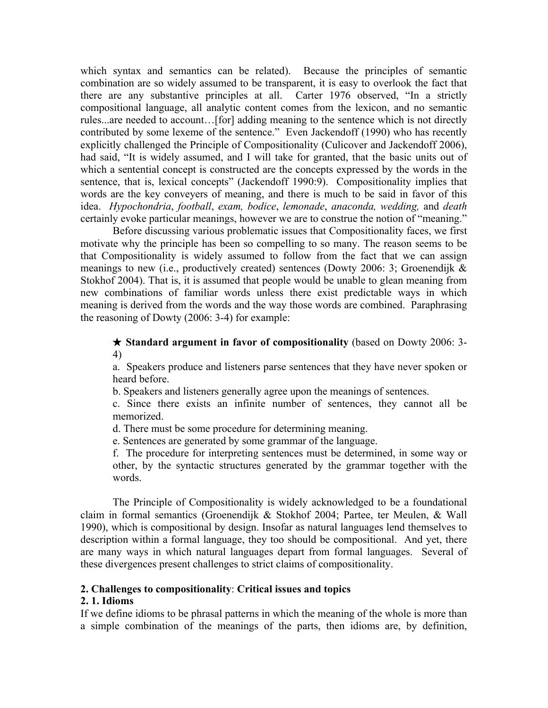which syntax and semantics can be related). Because the principles of semantic combination are so widely assumed to be transparent, it is easy to overlook the fact that there are any substantive principles at all. Carter 1976 observed, "In a strictly compositional language, all analytic content comes from the lexicon, and no semantic rules...are needed to account…[for] adding meaning to the sentence which is not directly contributed by some lexeme of the sentence." Even Jackendoff (1990) who has recently explicitly challenged the Principle of Compositionality (Culicover and Jackendoff 2006), had said, "It is widely assumed, and I will take for granted, that the basic units out of which a sentential concept is constructed are the concepts expressed by the words in the sentence, that is, lexical concepts" (Jackendoff 1990:9). Compositionality implies that words are the key conveyers of meaning, and there is much to be said in favor of this idea. *Hypochondria*, *football*, *exam, bodice*, *lemonade*, *anaconda, wedding,* and *death* certainly evoke particular meanings, however we are to construe the notion of "meaning."

Before discussing various problematic issues that Compositionality faces, we first motivate why the principle has been so compelling to so many. The reason seems to be that Compositionality is widely assumed to follow from the fact that we can assign meanings to new (i.e., productively created) sentences (Dowty 2006: 3; Groenendijk & Stokhof 2004). That is, it is assumed that people would be unable to glean meaning from new combinations of familiar words unless there exist predictable ways in which meaning is derived from the words and the way those words are combined. Paraphrasing the reasoning of Dowty (2006: 3-4) for example:

## ★ **Standard argument in favor of compositionality** (based on Dowty 2006: 3- 4)

a. Speakers produce and listeners parse sentences that they have never spoken or heard before.

b. Speakers and listeners generally agree upon the meanings of sentences.

c. Since there exists an infinite number of sentences, they cannot all be memorized.

d. There must be some procedure for determining meaning.

e. Sentences are generated by some grammar of the language.

f. The procedure for interpreting sentences must be determined, in some way or other, by the syntactic structures generated by the grammar together with the words.

The Principle of Compositionality is widely acknowledged to be a foundational claim in formal semantics (Groenendijk & Stokhof 2004; Partee, ter Meulen, & Wall 1990), which is compositional by design. Insofar as natural languages lend themselves to description within a formal language, they too should be compositional. And yet, there are many ways in which natural languages depart from formal languages. Several of these divergences present challenges to strict claims of compositionality.

## **2. Challenges to compositionality**: **Critical issues and topics**

## **2. 1. Idioms**

If we define idioms to be phrasal patterns in which the meaning of the whole is more than a simple combination of the meanings of the parts, then idioms are, by definition,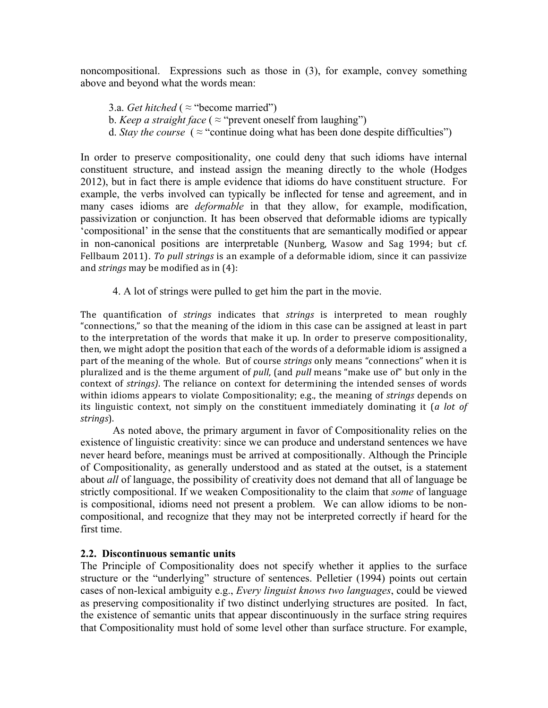noncompositional. Expressions such as those in (3), for example, convey something above and beyond what the words mean:

3.a. *Get hitched* ( $\approx$  "become married") b. *Keep a straight face* ( $\approx$  "prevent oneself from laughing") d. *Stay the course* ( $\approx$  "continue doing what has been done despite difficulties")

In order to preserve compositionality, one could deny that such idioms have internal constituent structure, and instead assign the meaning directly to the whole (Hodges 2012), but in fact there is ample evidence that idioms do have constituent structure. For example, the verbs involved can typically be inflected for tense and agreement, and in many cases idioms are *deformable* in that they allow, for example, modification, passivization or conjunction. It has been observed that deformable idioms are typically 'compositional' in the sense that the constituents that are semantically modified or appear in non-canonical positions are interpretable (Nunberg, Wasow and Sag 1994; but cf.) Fellbaum 2011). *To pull strings* is an example of a deformable idiom, since it can passivize and *strings* may be modified as in (4):

4. A lot of strings were pulled to get him the part in the movie.

The quantification of *strings* indicates that *strings* is interpreted to mean roughly "connections," so that the meaning of the idiom in this case can be assigned at least in part to the interpretation of the words that make it up. In order to preserve compositionality, then, we might adopt the position that each of the words of a deformable idiom is assigned a part of the meaning of the whole. But of course *strings* only means "connections" when it is pluralized and is the theme argument of *pull*, (and *pull* means "make use of" but only in the context of *strings*). The reliance on context for determining the intended senses of words within idioms appears to violate Compositionality; e.g., the meaning of *strings* depends on its linguistic context, not simply on the constituent immediately dominating it (a lot of *strings*). 

As noted above, the primary argument in favor of Compositionality relies on the existence of linguistic creativity: since we can produce and understand sentences we have never heard before, meanings must be arrived at compositionally. Although the Principle of Compositionality, as generally understood and as stated at the outset, is a statement about *all* of language, the possibility of creativity does not demand that all of language be strictly compositional. If we weaken Compositionality to the claim that *some* of language is compositional, idioms need not present a problem. We can allow idioms to be noncompositional, and recognize that they may not be interpreted correctly if heard for the first time.

## **2.2. Discontinuous semantic units**

The Principle of Compositionality does not specify whether it applies to the surface structure or the "underlying" structure of sentences. Pelletier (1994) points out certain cases of non-lexical ambiguity e.g., *Every linguist knows two languages*, could be viewed as preserving compositionality if two distinct underlying structures are posited. In fact, the existence of semantic units that appear discontinuously in the surface string requires that Compositionality must hold of some level other than surface structure. For example,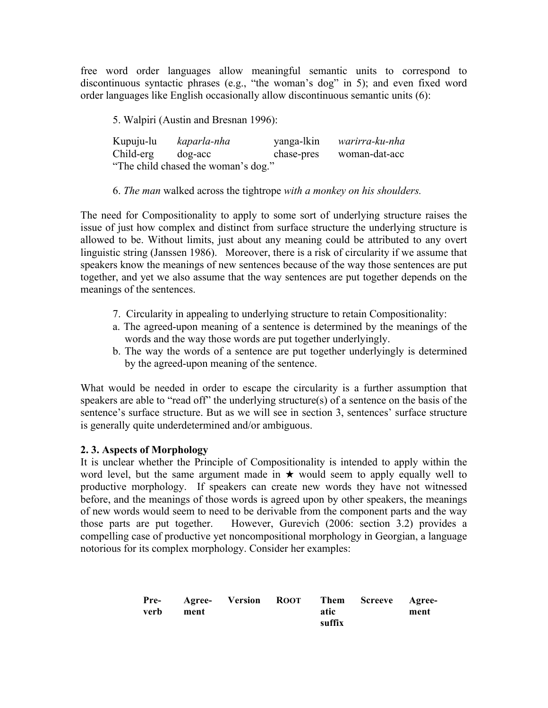free word order languages allow meaningful semantic units to correspond to discontinuous syntactic phrases (e.g., "the woman's dog" in 5); and even fixed word order languages like English occasionally allow discontinuous semantic units (6):

5. Walpiri (Austin and Bresnan 1996):

Kupuju-lu *kaparla-nha* yanga-lkin *warirra-ku-nha* Child-erg dog-acc chase-pres woman-dat-acc "The child chased the woman's dog."

6. *The man* walked across the tightrope *with a monkey on his shoulders.*

The need for Compositionality to apply to some sort of underlying structure raises the issue of just how complex and distinct from surface structure the underlying structure is allowed to be. Without limits, just about any meaning could be attributed to any overt linguistic string (Janssen 1986). Moreover, there is a risk of circularity if we assume that speakers know the meanings of new sentences because of the way those sentences are put together, and yet we also assume that the way sentences are put together depends on the meanings of the sentences.

- 7. Circularity in appealing to underlying structure to retain Compositionality:
- a. The agreed-upon meaning of a sentence is determined by the meanings of the words and the way those words are put together underlyingly.
- b. The way the words of a sentence are put together underlyingly is determined by the agreed-upon meaning of the sentence.

What would be needed in order to escape the circularity is a further assumption that speakers are able to "read off" the underlying structure(s) of a sentence on the basis of the sentence's surface structure. But as we will see in section 3, sentences' surface structure is generally quite underdetermined and/or ambiguous.

## **2. 3. Aspects of Morphology**

It is unclear whether the Principle of Compositionality is intended to apply within the word level, but the same argument made in  $\star$  would seem to apply equally well to productive morphology. If speakers can create new words they have not witnessed before, and the meanings of those words is agreed upon by other speakers, the meanings of new words would seem to need to be derivable from the component parts and the way those parts are put together. However, Gurevich (2006: section 3.2) provides a compelling case of productive yet noncompositional morphology in Georgian, a language notorious for its complex morphology. Consider her examples:

|      |      |  |        | Pre- Agree- Version ROOT Them Screeve Agree- |      |
|------|------|--|--------|----------------------------------------------|------|
| verb | ment |  | atic   |                                              | ment |
|      |      |  | suffix |                                              |      |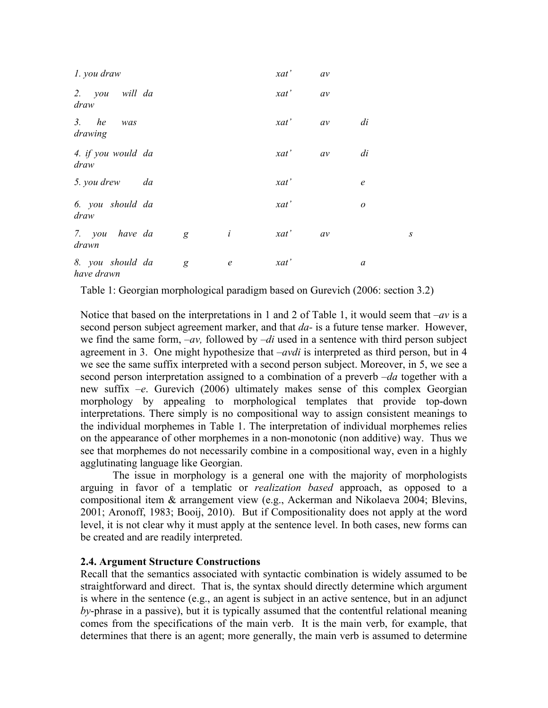| 1. you draw                    |    |   |                  | xat' | av |                  |                  |
|--------------------------------|----|---|------------------|------|----|------------------|------------------|
| 2. you will da<br>draw         |    |   |                  | xat' | av |                  |                  |
| 3.<br>he<br>was<br>drawing     |    |   |                  | xat' | av | di               |                  |
| 4. if you would da<br>draw     |    |   |                  | xat' | av | di               |                  |
| 5. you drew                    | da |   |                  | xat' |    | $\epsilon$       |                  |
| 6. you should da<br>draw       |    |   |                  | xat' |    | $\boldsymbol{o}$ |                  |
| 7. you have da<br>drawn        |    | g | $\dot{i}$        | xat' | av |                  | $\boldsymbol{S}$ |
| 8. you should da<br>have drawn |    | g | $\boldsymbol{e}$ | xat' |    | $\boldsymbol{a}$ |                  |

Table 1: Georgian morphological paradigm based on Gurevich (2006: section 3.2)

Notice that based on the interpretations in 1 and 2 of Table 1, it would seem that *–av* is a second person subject agreement marker, and that *da-* is a future tense marker. However, we find the same form, *–av,* followed by *–di* used in a sentence with third person subject agreement in 3. One might hypothesize that *–avdi* is interpreted as third person, but in 4 we see the same suffix interpreted with a second person subject. Moreover, in 5, we see a second person interpretation assigned to a combination of a preverb *–da* together with a new suffix *–e*. Gurevich (2006) ultimately makes sense of this complex Georgian morphology by appealing to morphological templates that provide top-down interpretations. There simply is no compositional way to assign consistent meanings to the individual morphemes in Table 1. The interpretation of individual morphemes relies on the appearance of other morphemes in a non-monotonic (non additive) way. Thus we see that morphemes do not necessarily combine in a compositional way, even in a highly agglutinating language like Georgian.

The issue in morphology is a general one with the majority of morphologists arguing in favor of a templatic or *realization based* approach, as opposed to a compositional item & arrangement view (e.g., Ackerman and Nikolaeva 2004; Blevins, 2001; Aronoff, 1983; Booij, 2010). But if Compositionality does not apply at the word level, it is not clear why it must apply at the sentence level. In both cases, new forms can be created and are readily interpreted.

## **2.4. Argument Structure Constructions**

Recall that the semantics associated with syntactic combination is widely assumed to be straightforward and direct. That is, the syntax should directly determine which argument is where in the sentence (e.g., an agent is subject in an active sentence, but in an adjunct *by*-phrase in a passive), but it is typically assumed that the contentful relational meaning comes from the specifications of the main verb. It is the main verb, for example, that determines that there is an agent; more generally, the main verb is assumed to determine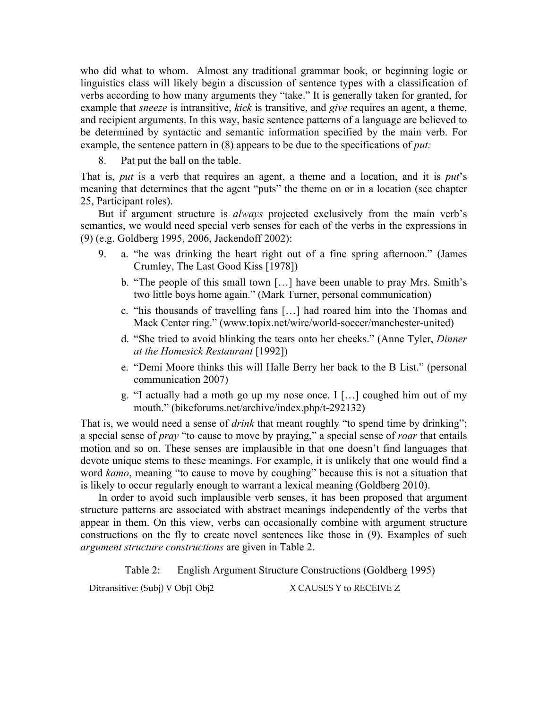who did what to whom. Almost any traditional grammar book, or beginning logic or linguistics class will likely begin a discussion of sentence types with a classification of verbs according to how many arguments they "take." It is generally taken for granted, for example that *sneeze* is intransitive, *kick* is transitive, and *give* requires an agent, a theme, and recipient arguments. In this way, basic sentence patterns of a language are believed to be determined by syntactic and semantic information specified by the main verb. For example, the sentence pattern in (8) appears to be due to the specifications of *put:*

8. Pat put the ball on the table.

That is, *put* is a verb that requires an agent, a theme and a location, and it is *put*'s meaning that determines that the agent "puts" the theme on or in a location (see chapter 25, Participant roles).

But if argument structure is *always* projected exclusively from the main verb's semantics, we would need special verb senses for each of the verbs in the expressions in (9) (e.g. Goldberg 1995, 2006, Jackendoff 2002):

- 9. a. "he was drinking the heart right out of a fine spring afternoon." (James Crumley, The Last Good Kiss [1978])
	- b. "The people of this small town […] have been unable to pray Mrs. Smith's two little boys home again." (Mark Turner, personal communication)
	- c. "his thousands of travelling fans […] had roared him into the Thomas and Mack Center ring." (www.topix.net/wire/world-soccer/manchester-united)
	- d. "She tried to avoid blinking the tears onto her cheeks." (Anne Tyler, *Dinner at the Homesick Restaurant* [1992])
	- e. "Demi Moore thinks this will Halle Berry her back to the B List." (personal communication 2007)
	- g. "I actually had a moth go up my nose once. I […] coughed him out of my mouth." (bikeforums.net/archive/index.php/t-292132)

That is, we would need a sense of *drink* that meant roughly "to spend time by drinking"; a special sense of *pray* "to cause to move by praying," a special sense of *roar* that entails motion and so on. These senses are implausible in that one doesn't find languages that devote unique stems to these meanings. For example, it is unlikely that one would find a word *kamo*, meaning "to cause to move by coughing" because this is not a situation that is likely to occur regularly enough to warrant a lexical meaning (Goldberg 2010).

In order to avoid such implausible verb senses, it has been proposed that argument structure patterns are associated with abstract meanings independently of the verbs that appear in them. On this view, verbs can occasionally combine with argument structure constructions on the fly to create novel sentences like those in (9). Examples of such *argument structure constructions* are given in Table 2.

Table 2: English Argument Structure Constructions (Goldberg 1995)

Ditransitive: (Subj) V Obj1 Obj2 X CAUSES Y to RECEIVE Z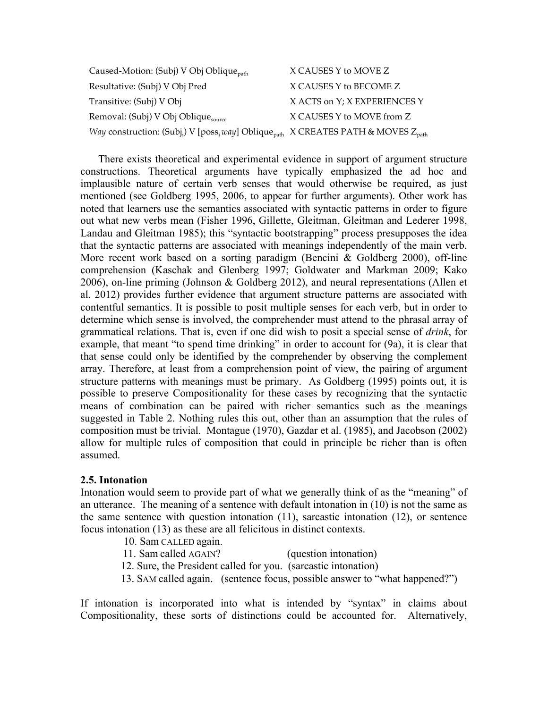| Caused-Motion: (Subj) V Obj Oblique <sub>path</sub>                                                                            | X CAUSES Y to MOVE Z         |
|--------------------------------------------------------------------------------------------------------------------------------|------------------------------|
| Resultative: (Subj) V Obj Pred                                                                                                 | X CAUSES Y to BECOME Z       |
| Transitive: (Subj) V Obj                                                                                                       | X ACTS on Y; X EXPERIENCES Y |
| Removal: (Subj) V Obj Oblique <sub>source</sub>                                                                                | X CAUSES Y to MOVE from Z    |
| <i>Way</i> construction: $(Subj_i)$ V [poss <sub>i</sub> way] Oblique <sub>path</sub> X CREATES PATH & MOVES $Z_{\text{path}}$ |                              |

There exists theoretical and experimental evidence in support of argument structure constructions. Theoretical arguments have typically emphasized the ad hoc and implausible nature of certain verb senses that would otherwise be required, as just mentioned (see Goldberg 1995, 2006, to appear for further arguments). Other work has noted that learners use the semantics associated with syntactic patterns in order to figure out what new verbs mean (Fisher 1996, Gillette, Gleitman, Gleitman and Lederer 1998, Landau and Gleitman 1985); this "syntactic bootstrapping" process presupposes the idea that the syntactic patterns are associated with meanings independently of the main verb. More recent work based on a sorting paradigm (Bencini & Goldberg 2000), off-line comprehension (Kaschak and Glenberg 1997; Goldwater and Markman 2009; Kako 2006), on-line priming (Johnson & Goldberg 2012), and neural representations (Allen et al. 2012) provides further evidence that argument structure patterns are associated with contentful semantics. It is possible to posit multiple senses for each verb, but in order to determine which sense is involved, the comprehender must attend to the phrasal array of grammatical relations. That is, even if one did wish to posit a special sense of *drink*, for example, that meant "to spend time drinking" in order to account for (9a), it is clear that that sense could only be identified by the comprehender by observing the complement array. Therefore, at least from a comprehension point of view, the pairing of argument structure patterns with meanings must be primary. As Goldberg (1995) points out, it is possible to preserve Compositionality for these cases by recognizing that the syntactic means of combination can be paired with richer semantics such as the meanings suggested in Table 2. Nothing rules this out, other than an assumption that the rules of composition must be trivial. Montague (1970), Gazdar et al. (1985), and Jacobson (2002) allow for multiple rules of composition that could in principle be richer than is often assumed.

## **2.5. Intonation**

Intonation would seem to provide part of what we generally think of as the "meaning" of an utterance. The meaning of a sentence with default intonation in (10) is not the same as the same sentence with question intonation (11), sarcastic intonation (12), or sentence focus intonation (13) as these are all felicitous in distinct contexts.

- 10. Sam CALLED again.
- 11. Sam called AGAIN? (question intonation)
- 12. Sure, the President called for you. (sarcastic intonation)
- 13. SAM called again. (sentence focus, possible answer to "what happened?")

If intonation is incorporated into what is intended by "syntax" in claims about Compositionality, these sorts of distinctions could be accounted for. Alternatively,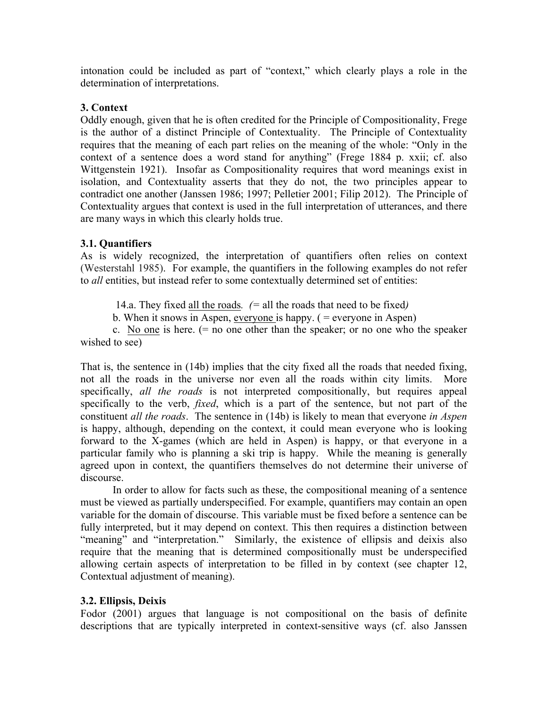intonation could be included as part of "context," which clearly plays a role in the determination of interpretations.

## **3. Context**

Oddly enough, given that he is often credited for the Principle of Compositionality, Frege is the author of a distinct Principle of Contextuality. The Principle of Contextuality requires that the meaning of each part relies on the meaning of the whole: "Only in the context of a sentence does a word stand for anything" (Frege 1884 p. xxii; cf. also Wittgenstein 1921). Insofar as Compositionality requires that word meanings exist in isolation, and Contextuality asserts that they do not, the two principles appear to contradict one another (Janssen 1986; 1997; Pelletier 2001; Filip 2012). The Principle of Contextuality argues that context is used in the full interpretation of utterances, and there are many ways in which this clearly holds true.

## **3.1. Quantifiers**

As is widely recognized, the interpretation of quantifiers often relies on context (Westerstahl 1985). For example, the quantifiers in the following examples do not refer to *all* entities, but instead refer to some contextually determined set of entities:

14.a. They fixed all the roads*. (=* all the roads that need to be fixed*)*

b. When it snows in Aspen, everyone is happy. ( = everyone in Aspen)

c. No one is here. (= no one other than the speaker; or no one who the speaker wished to see)

That is, the sentence in (14b) implies that the city fixed all the roads that needed fixing, not all the roads in the universe nor even all the roads within city limits. More specifically, *all the roads* is not interpreted compositionally, but requires appeal specifically to the verb, *fixed*, which is a part of the sentence, but not part of the constituent *all the roads*. The sentence in (14b) is likely to mean that everyone *in Aspen* is happy, although, depending on the context, it could mean everyone who is looking forward to the X-games (which are held in Aspen) is happy, or that everyone in a particular family who is planning a ski trip is happy. While the meaning is generally agreed upon in context, the quantifiers themselves do not determine their universe of discourse.

In order to allow for facts such as these, the compositional meaning of a sentence must be viewed as partially underspecified. For example, quantifiers may contain an open variable for the domain of discourse. This variable must be fixed before a sentence can be fully interpreted, but it may depend on context. This then requires a distinction between "meaning" and "interpretation." Similarly, the existence of ellipsis and deixis also require that the meaning that is determined compositionally must be underspecified allowing certain aspects of interpretation to be filled in by context (see chapter 12, Contextual adjustment of meaning).

## **3.2. Ellipsis, Deixis**

Fodor (2001) argues that language is not compositional on the basis of definite descriptions that are typically interpreted in context-sensitive ways (cf. also Janssen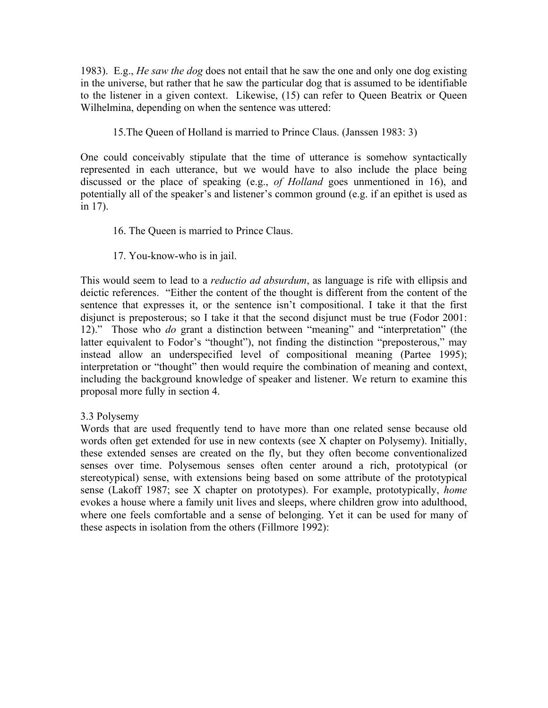1983). E.g., *He saw the dog* does not entail that he saw the one and only one dog existing in the universe, but rather that he saw the particular dog that is assumed to be identifiable to the listener in a given context. Likewise, (15) can refer to Queen Beatrix or Queen Wilhelmina, depending on when the sentence was uttered:

15.The Queen of Holland is married to Prince Claus. (Janssen 1983: 3)

One could conceivably stipulate that the time of utterance is somehow syntactically represented in each utterance, but we would have to also include the place being discussed or the place of speaking (e.g., *of Holland* goes unmentioned in 16), and potentially all of the speaker's and listener's common ground (e.g. if an epithet is used as in 17).

- 16. The Queen is married to Prince Claus.
- 17. You-know-who is in jail.

This would seem to lead to a *reductio ad absurdum*, as language is rife with ellipsis and deictic references. "Either the content of the thought is different from the content of the sentence that expresses it, or the sentence isn't compositional. I take it that the first disjunct is preposterous; so I take it that the second disjunct must be true (Fodor 2001: 12)." Those who *do* grant a distinction between "meaning" and "interpretation" (the latter equivalent to Fodor's "thought"), not finding the distinction "preposterous," may instead allow an underspecified level of compositional meaning (Partee 1995); interpretation or "thought" then would require the combination of meaning and context, including the background knowledge of speaker and listener. We return to examine this proposal more fully in section 4.

## 3.3 Polysemy

Words that are used frequently tend to have more than one related sense because old words often get extended for use in new contexts (see X chapter on Polysemy). Initially, these extended senses are created on the fly, but they often become conventionalized senses over time. Polysemous senses often center around a rich, prototypical (or stereotypical) sense, with extensions being based on some attribute of the prototypical sense (Lakoff 1987; see X chapter on prototypes). For example, prototypically, *home* evokes a house where a family unit lives and sleeps, where children grow into adulthood, where one feels comfortable and a sense of belonging. Yet it can be used for many of these aspects in isolation from the others (Fillmore 1992):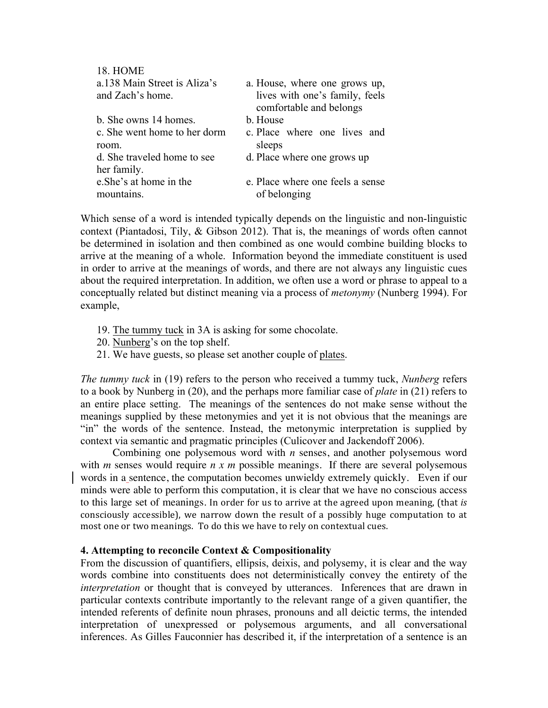| <b>18. HOME</b>              |                                  |
|------------------------------|----------------------------------|
| a.138 Main Street is Aliza's | a. House, where one grows up,    |
| and Zach's home.             | lives with one's family, feels   |
|                              | comfortable and belongs          |
| b. She owns 14 homes.        | b. House                         |
| c. She went home to her dorm | c. Place where one lives and     |
| room.                        | sleeps                           |
| d. She traveled home to see  | d. Place where one grows up      |
| her family.                  |                                  |
| e. She's at home in the      | e. Place where one feels a sense |
| mountains                    | of belonging                     |
|                              |                                  |

Which sense of a word is intended typically depends on the linguistic and non-linguistic context (Piantadosi, Tily, & Gibson 2012). That is, the meanings of words often cannot be determined in isolation and then combined as one would combine building blocks to arrive at the meaning of a whole. Information beyond the immediate constituent is used in order to arrive at the meanings of words, and there are not always any linguistic cues about the required interpretation. In addition, we often use a word or phrase to appeal to a conceptually related but distinct meaning via a process of *metonymy* (Nunberg 1994). For example,

- 19. The tummy tuck in 3A is asking for some chocolate.
- 20. Nunberg's on the top shelf.
- 21. We have guests, so please set another couple of plates.

*The tummy tuck* in (19) refers to the person who received a tummy tuck, *Nunberg* refers to a book by Nunberg in (20), and the perhaps more familiar case of *plate* in (21) refers to an entire place setting. The meanings of the sentences do not make sense without the meanings supplied by these metonymies and yet it is not obvious that the meanings are "in" the words of the sentence. Instead, the metonymic interpretation is supplied by context via semantic and pragmatic principles (Culicover and Jackendoff 2006).

Combining one polysemous word with *n* senses, and another polysemous word with *m* senses would require *n x m* possible meanings. If there are several polysemous words in a sentence, the computation becomes unwieldy extremely quickly. Even if our minds were able to perform this computation, it is clear that we have no conscious access to this large set of meanings. In order for us to arrive at the agreed upon meaning, (that *is* consciously accessible), we narrow down the result of a possibly huge computation to at most one or two meanings. To do this we have to rely on contextual cues.

## **4. Attempting to reconcile Context & Compositionality**

From the discussion of quantifiers, ellipsis, deixis, and polysemy, it is clear and the way words combine into constituents does not deterministically convey the entirety of the *interpretation* or thought that is conveyed by utterances. Inferences that are drawn in particular contexts contribute importantly to the relevant range of a given quantifier, the intended referents of definite noun phrases, pronouns and all deictic terms, the intended interpretation of unexpressed or polysemous arguments, and all conversational inferences. As Gilles Fauconnier has described it, if the interpretation of a sentence is an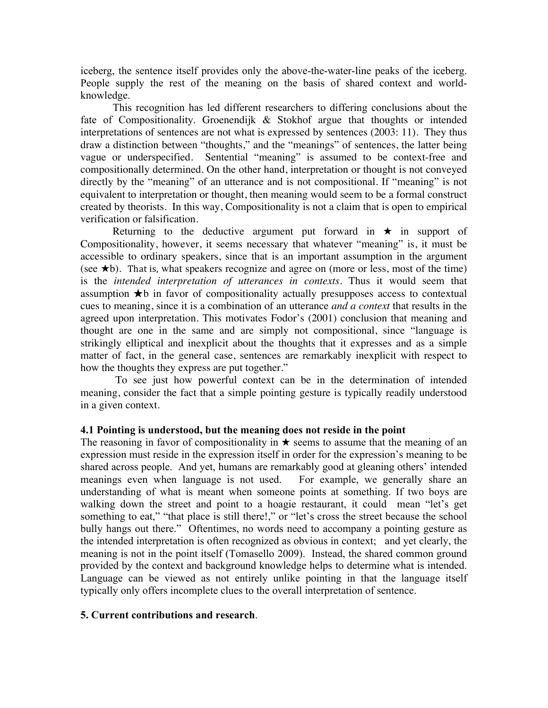iceberg, the sentence itself provides only the above-the-water-line peaks of the iceberg. People supply the rest of the meaning on the basis of shared context and worldknowledge.

This recognition has led different researchers to differing conclusions about the fate of Compositionality. Groenendijk & Stokhof argue that thoughts or intended interpretations of sentences are not what is expressed by sentences (2003: 11). They thus draw a distinction between "thoughts," and the "meanings" of sentences, the latter being vague or underspecified. Sentential "meaning" is assumed to be context-free and compositionally determined. On the other hand, interpretation or thought is not conveyed directly by the "meaning" of an utterance and is not compositional. If "meaning" is not equivalent to interpretation or thought, then meaning would seem to be a formal construct created by theorists. In this way, Compositionality is not a claim that is open to empirical verification or falsification.

Returning to the deductive argument put forward in  $\star$  in support of Compositionality, however, it seems necessary that whatever "meaning" is, it must be accessible to ordinary speakers, since that is an important assumption in the argument (see  $\star$ b). That is, what speakers recognize and agree on (more or less, most of the time) is the *intended interpretation of utterances in contexts.* Thus it would seem that assumption ★b in favor of compositionality actually presupposes access to contextual cues to meaning, since it is a combination of an utterance *and a context* that results in the agreed upon interpretation. This motivates Fodor's (2001) conclusion that meaning and thought are one in the same and are simply not compositional, since "language is strikingly elliptical and inexplicit about the thoughts that it expresses and as a simple matter of fact, in the general case, sentences are remarkably inexplicit with respect to how the thoughts they express are put together."

To see just how powerful context can be in the determination of intended meaning, consider the fact that a simple pointing gesture is typically readily understood in a given context.

## **4.1 Pointing is understood, but the meaning does not reside in the point**

The reasoning in favor of compositionality in  $\star$  seems to assume that the meaning of an expression must reside in the expression itself in order for the expression's meaning to be shared across people. And yet, humans are remarkably good at gleaning others' intended meanings even when language is not used. For example, we generally share an understanding of what is meant when someone points at something. If two boys are walking down the street and point to a hoagie restaurant, it could mean "let's get something to eat," "that place is still there!," or "let's cross the street because the school bully hangs out there." Oftentimes, no words need to accompany a pointing gesture as the intended interpretation is often recognized as obvious in context; and yet clearly, the meaning is not in the point itself (Tomasello 2009). Instead, the shared common ground provided by the context and background knowledge helps to determine what is intended. Language can be viewed as not entirely unlike pointing in that the language itself typically only offers incomplete clues to the overall interpretation of sentence.

## **5. Current contributions and research**.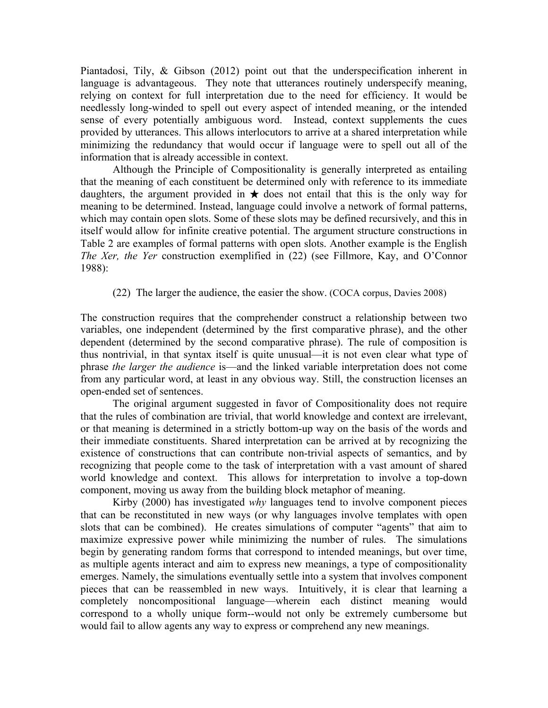Piantadosi, Tily, & Gibson (2012) point out that the underspecification inherent in language is advantageous. They note that utterances routinely underspecify meaning, relying on context for full interpretation due to the need for efficiency. It would be needlessly long-winded to spell out every aspect of intended meaning, or the intended sense of every potentially ambiguous word. Instead, context supplements the cues provided by utterances. This allows interlocutors to arrive at a shared interpretation while minimizing the redundancy that would occur if language were to spell out all of the information that is already accessible in context.

Although the Principle of Compositionality is generally interpreted as entailing that the meaning of each constituent be determined only with reference to its immediate daughters, the argument provided in  $\star$  does not entail that this is the only way for meaning to be determined. Instead, language could involve a network of formal patterns, which may contain open slots. Some of these slots may be defined recursively, and this in itself would allow for infinite creative potential. The argument structure constructions in Table 2 are examples of formal patterns with open slots. Another example is the English *The Xer, the Yer* construction exemplified in (22) (see Fillmore, Kay, and O'Connor 1988):

### (22) The larger the audience, the easier the show. (COCA corpus, Davies 2008)

The construction requires that the comprehender construct a relationship between two variables, one independent (determined by the first comparative phrase), and the other dependent (determined by the second comparative phrase). The rule of composition is thus nontrivial, in that syntax itself is quite unusual—it is not even clear what type of phrase *the larger the audience* is—and the linked variable interpretation does not come from any particular word, at least in any obvious way. Still, the construction licenses an open-ended set of sentences.

The original argument suggested in favor of Compositionality does not require that the rules of combination are trivial, that world knowledge and context are irrelevant, or that meaning is determined in a strictly bottom-up way on the basis of the words and their immediate constituents. Shared interpretation can be arrived at by recognizing the existence of constructions that can contribute non-trivial aspects of semantics, and by recognizing that people come to the task of interpretation with a vast amount of shared world knowledge and context. This allows for interpretation to involve a top-down component, moving us away from the building block metaphor of meaning.

Kirby (2000) has investigated *why* languages tend to involve component pieces that can be reconstituted in new ways (or why languages involve templates with open slots that can be combined). He creates simulations of computer "agents" that aim to maximize expressive power while minimizing the number of rules. The simulations begin by generating random forms that correspond to intended meanings, but over time, as multiple agents interact and aim to express new meanings, a type of compositionality emerges. Namely, the simulations eventually settle into a system that involves component pieces that can be reassembled in new ways. Intuitively, it is clear that learning a completely noncompositional language—wherein each distinct meaning would correspond to a wholly unique form--would not only be extremely cumbersome but would fail to allow agents any way to express or comprehend any new meanings.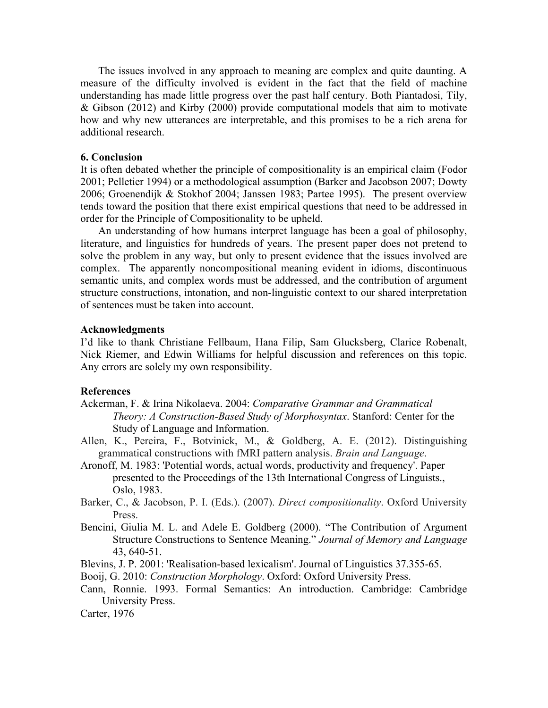The issues involved in any approach to meaning are complex and quite daunting. A measure of the difficulty involved is evident in the fact that the field of machine understanding has made little progress over the past half century. Both Piantadosi, Tily, & Gibson (2012) and Kirby (2000) provide computational models that aim to motivate how and why new utterances are interpretable, and this promises to be a rich arena for additional research.

#### **6. Conclusion**

It is often debated whether the principle of compositionality is an empirical claim (Fodor 2001; Pelletier 1994) or a methodological assumption (Barker and Jacobson 2007; Dowty 2006; Groenendijk & Stokhof 2004; Janssen 1983; Partee 1995). The present overview tends toward the position that there exist empirical questions that need to be addressed in order for the Principle of Compositionality to be upheld.

An understanding of how humans interpret language has been a goal of philosophy, literature, and linguistics for hundreds of years. The present paper does not pretend to solve the problem in any way, but only to present evidence that the issues involved are complex. The apparently noncompositional meaning evident in idioms, discontinuous semantic units, and complex words must be addressed, and the contribution of argument structure constructions, intonation, and non-linguistic context to our shared interpretation of sentences must be taken into account.

#### **Acknowledgments**

I'd like to thank Christiane Fellbaum, Hana Filip, Sam Glucksberg, Clarice Robenalt, Nick Riemer, and Edwin Williams for helpful discussion and references on this topic. Any errors are solely my own responsibility.

#### **References**

- Ackerman, F. & Irina Nikolaeva. 2004: *Comparative Grammar and Grammatical Theory: A Construction-Based Study of Morphosyntax*. Stanford: Center for the Study of Language and Information.
- Allen, K., Pereira, F., Botvinick, M., & Goldberg, A. E. (2012). Distinguishing grammatical constructions with fMRI pattern analysis. *Brain and Language*.
- Aronoff, M. 1983: 'Potential words, actual words, productivity and frequency'. Paper presented to the Proceedings of the 13th International Congress of Linguists., Oslo, 1983.
- Barker, C., & Jacobson, P. I. (Eds.). (2007). *Direct compositionality*. Oxford University Press.
- Bencini, Giulia M. L. and Adele E. Goldberg (2000). "The Contribution of Argument Structure Constructions to Sentence Meaning." *Journal of Memory and Language* 43, 640-51.
- Blevins, J. P. 2001: 'Realisation-based lexicalism'. Journal of Linguistics 37.355-65.
- Booij, G. 2010: *Construction Morphology*. Oxford: Oxford University Press.
- Cann, Ronnie. 1993. Formal Semantics: An introduction. Cambridge: Cambridge University Press.

Carter, 1976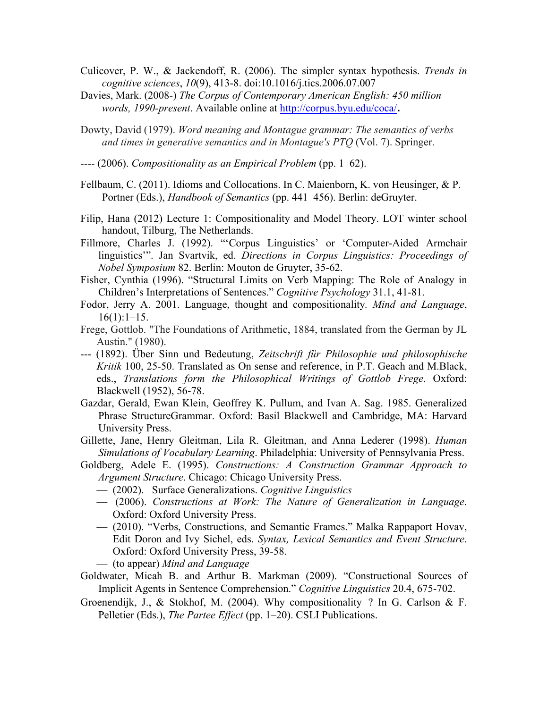- Culicover, P. W., & Jackendoff, R. (2006). The simpler syntax hypothesis. *Trends in cognitive sciences*, *10*(9), 413-8. doi:10.1016/j.tics.2006.07.007
- Davies, Mark. (2008-) *The Corpus of Contemporary American English: 450 million words, 1990-present*. Available online at http://corpus.byu.edu/coca/.
- Dowty, David (1979). *Word meaning and Montague grammar: The semantics of verbs and times in generative semantics and in Montague's PTQ* (Vol. 7). Springer.
- ---- (2006). *Compositionality as an Empirical Problem* (pp. 1–62).
- Fellbaum, C. (2011). Idioms and Collocations. In C. Maienborn, K. von Heusinger, & P. Portner (Eds.), *Handbook of Semantics* (pp. 441–456). Berlin: deGruyter.
- Filip, Hana (2012) Lecture 1: Compositionality and Model Theory. LOT winter school handout, Tilburg, The Netherlands.
- Fillmore, Charles J. (1992). "'Corpus Linguistics' or 'Computer-Aided Armchair linguistics'". Jan Svartvik, ed. *Directions in Corpus Linguistics: Proceedings of Nobel Symposium* 82. Berlin: Mouton de Gruyter, 35-62.
- Fisher, Cynthia (1996). "Structural Limits on Verb Mapping: The Role of Analogy in Children's Interpretations of Sentences." *Cognitive Psychology* 31.1, 41-81.
- Fodor, Jerry A. 2001. Language, thought and compositionality*. Mind and Language*,  $16(1):1-15.$
- Frege, Gottlob. "The Foundations of Arithmetic, 1884, translated from the German by JL Austin." (1980).
- --- (1892). Über Sinn und Bedeutung, *Zeitschrift für Philosophie und philosophische Kritik* 100, 25-50. Translated as On sense and reference, in P.T. Geach and M.Black, eds., *Translations form the Philosophical Writings of Gottlob Frege*. Oxford: Blackwell (1952), 56-78.
- Gazdar, Gerald, Ewan Klein, Geoffrey K. Pullum, and Ivan A. Sag. 1985. Generalized Phrase StructureGrammar. Oxford: Basil Blackwell and Cambridge, MA: Harvard University Press.
- Gillette, Jane, Henry Gleitman, Lila R. Gleitman, and Anna Lederer (1998). *Human Simulations of Vocabulary Learning*. Philadelphia: University of Pennsylvania Press.
- Goldberg, Adele E. (1995). *Constructions: A Construction Grammar Approach to Argument Structure*. Chicago: Chicago University Press.
	- (2002). Surface Generalizations. *Cognitive Linguistics*
	- (2006). *Constructions at Work: The Nature of Generalization in Language*. Oxford: Oxford University Press.
	- (2010). "Verbs, Constructions, and Semantic Frames." Malka Rappaport Hovav, Edit Doron and Ivy Sichel, eds. *Syntax, Lexical Semantics and Event Structure*. Oxford: Oxford University Press, 39-58.
	- (to appear) *Mind and Language*
- Goldwater, Micah B. and Arthur B. Markman (2009). "Constructional Sources of Implicit Agents in Sentence Comprehension." *Cognitive Linguistics* 20.4, 675-702.
- Groenendijk, J., & Stokhof, M. (2004). Why compositionality ? In G. Carlson & F. Pelletier (Eds.), *The Partee Effect* (pp. 1–20). CSLI Publications.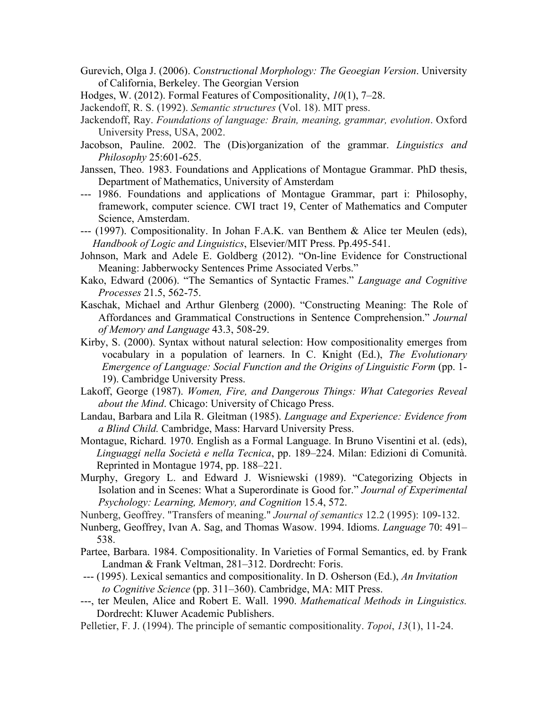- Gurevich, Olga J. (2006). *Constructional Morphology: The Geoegian Version*. University of California, Berkeley. The Georgian Version
- Hodges, W. (2012). Formal Features of Compositionality, *10*(1), 7–28.
- Jackendoff, R. S. (1992). *Semantic structures* (Vol. 18). MIT press.
- Jackendoff, Ray. *Foundations of language: Brain, meaning, grammar, evolution*. Oxford University Press, USA, 2002.
- Jacobson, Pauline. 2002. The (Dis)organization of the grammar. *Linguistics and Philosophy* 25:601-625.
- Janssen, Theo. 1983. Foundations and Applications of Montague Grammar. PhD thesis, Department of Mathematics, University of Amsterdam
- --- 1986. Foundations and applications of Montague Grammar, part i: Philosophy, framework, computer science. CWI tract 19, Center of Mathematics and Computer Science, Amsterdam.
- --- (1997). Compositionality. In Johan F.A.K. van Benthem & Alice ter Meulen (eds), *Handbook of Logic and Linguistics*, Elsevier/MIT Press. Pp.495-541.
- Johnson, Mark and Adele E. Goldberg (2012). "On-line Evidence for Constructional Meaning: Jabberwocky Sentences Prime Associated Verbs."
- Kako, Edward (2006). "The Semantics of Syntactic Frames." *Language and Cognitive Processes* 21.5, 562-75.
- Kaschak, Michael and Arthur Glenberg (2000). "Constructing Meaning: The Role of Affordances and Grammatical Constructions in Sentence Comprehension." *Journal of Memory and Language* 43.3, 508-29.
- Kirby, S. (2000). Syntax without natural selection: How compositionality emerges from vocabulary in a population of learners. In C. Knight (Ed.), *The Evolutionary Emergence of Language: Social Function and the Origins of Linguistic Form* (pp. 1- 19). Cambridge University Press.
- Lakoff, George (1987). *Women, Fire, and Dangerous Things: What Categories Reveal about the Mind*. Chicago: University of Chicago Press.
- Landau, Barbara and Lila R. Gleitman (1985). *Language and Experience: Evidence from a Blind Child.* Cambridge, Mass: Harvard University Press.
- Montague, Richard. 1970. English as a Formal Language. In Bruno Visentini et al. (eds), *Linguaggi nella Società e nella Tecnica*, pp. 189–224. Milan: Edizioni di Comunità. Reprinted in Montague 1974, pp. 188–221.
- Murphy, Gregory L. and Edward J. Wisniewski (1989). "Categorizing Objects in Isolation and in Scenes: What a Superordinate is Good for." *Journal of Experimental Psychology: Learning, Memory, and Cognition* 15.4, 572.
- Nunberg, Geoffrey. "Transfers of meaning." *Journal of semantics* 12.2 (1995): 109-132.
- Nunberg, Geoffrey, Ivan A. Sag, and Thomas Wasow. 1994. Idioms. *Language* 70: 491– 538.
- Partee, Barbara. 1984. Compositionality. In Varieties of Formal Semantics, ed. by Frank Landman & Frank Veltman, 281–312. Dordrecht: Foris.
- --- (1995). Lexical semantics and compositionality. In D. Osherson (Ed.), *An Invitation to Cognitive Science* (pp. 311–360). Cambridge, MA: MIT Press.
- ---, ter Meulen, Alice and Robert E. Wall. 1990. *Mathematical Methods in Linguistics.*  Dordrecht: Kluwer Academic Publishers.
- Pelletier, F. J. (1994). The principle of semantic compositionality. *Topoi*, *13*(1), 11-24.